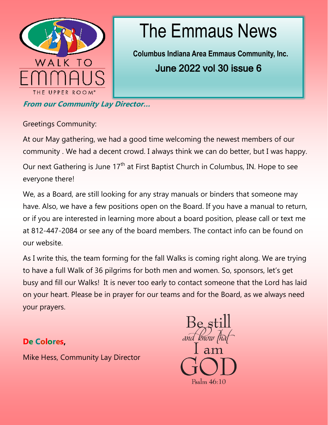

# The Emmaus News

**Columbus Indiana Area Emmaus Community, Inc.**  June 2022 vol 30 issue 6

**From our Community Lay Director…**

Greetings Community:

At our May gathering, we had a good time welcoming the newest members of our community . We had a decent crowd. I always think we can do better, but I was happy.

Our next Gathering is June 17<sup>th</sup> at First Baptist Church in Columbus, IN. Hope to see everyone there!

We, as a Board, are still looking for any stray manuals or binders that someone may have. Also, we have a few positions open on the Board. If you have a manual to return, or if you are interested in learning more about a board position, please call or text me at 812-447-2084 or see any of the board members. The contact info can be found on our website.

As I write this, the team forming for the fall Walks is coming right along. We are trying to have a full Walk of 36 pilgrims for both men and women. So, sponsors, let's get busy and fill our Walks! It is never too early to contact someone that the Lord has laid on your heart. Please be in prayer for our teams and for the Board, as we always need your prayers.

## **De Colores,**

Mike Hess, Community Lay Director

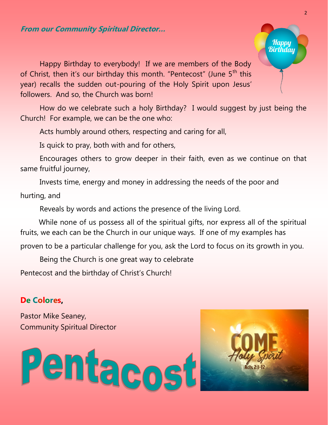#### **From our Community Spiritual Director…**

Happy Birthday to everybody! If we are members of the Body of Christ, then it's our birthday this month. "Pentecost" (June 5<sup>th</sup> this year) recalls the sudden out-pouring of the Holy Spirit upon Jesus' followers. And so, the Church was born!

How do we celebrate such a holy Birthday? I would suggest by just being the Church! For example, we can be the one who:

Acts humbly around others, respecting and caring for all,

Is quick to pray, both with and for others,

Encourages others to grow deeper in their faith, even as we continue on that same fruitful journey,

Invests time, energy and money in addressing the needs of the poor and

hurting, and

Reveals by words and actions the presence of the living Lord.

 While none of us possess all of the spiritual gifts, nor express all of the spiritual fruits, we each can be the Church in our unique ways. If one of my examples has proven to be a particular challenge for you, ask the Lord to focus on its growth in you.

Being the Church is one great way to celebrate Pentecost and the birthday of Christ's Church!

### **De Colores,**

Pastor Mike Seaney, Community Spiritual Director





Happy<br>Birthday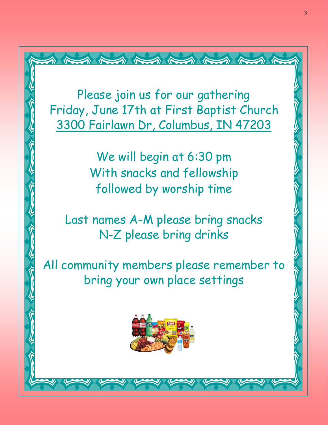Please join us for our gathering Friday, June 17th at First Baptist Church [3300 Fairlawn Dr, Columbus, IN 47203](https://goo.gl/maps/mpCwQiZ2pStiSKKY6)

 $\begin{picture}(130,10) \put(0,0){\vector(1,0){10}} \put(15,0){\vector(1,0){10}} \put(15,0){\vector(1,0){10}} \put(15,0){\vector(1,0){10}} \put(15,0){\vector(1,0){10}} \put(15,0){\vector(1,0){10}} \put(15,0){\vector(1,0){10}} \put(15,0){\vector(1,0){10}} \put(15,0){\vector(1,0){10}} \put(15,0){\vector(1,0){10}} \put(15,0){\vector(1,0){10}} \put(15,0){\vector($ 

We will begin at 6:30 pm With snacks and fellowship followed by worship time

Last names A-M please bring snacks N-Z please bring drinks

All community members please remember to bring your own place settings